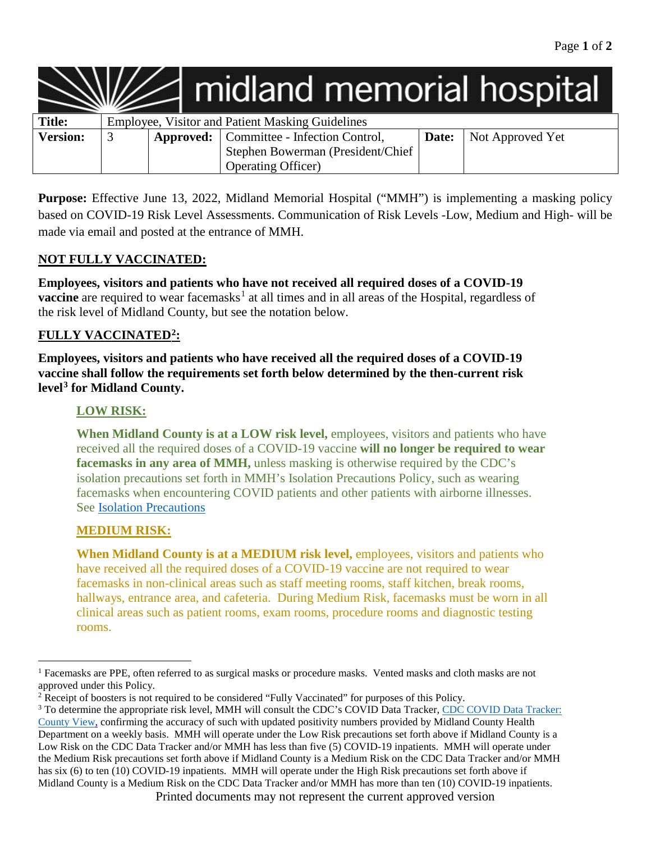|                 |                                                  |  | $\angle$ midland memorial hospital              |       |                  |
|-----------------|--------------------------------------------------|--|-------------------------------------------------|-------|------------------|
| <b>Title:</b>   | Employee, Visitor and Patient Masking Guidelines |  |                                                 |       |                  |
| <b>Version:</b> |                                                  |  | <b>Approved:</b> Committee - Infection Control, | Date: | Not Approved Yet |
|                 |                                                  |  | Stephen Bowerman (President/Chief               |       |                  |
|                 |                                                  |  | Operating Officer)                              |       |                  |

**Purpose:** Effective June 13, 2022, Midland Memorial Hospital ("MMH") is implementing a masking policy based on COVID-19 Risk Level Assessments. Communication of Risk Levels -Low, Medium and High- will be made via email and posted at the entrance of MMH.

## **NOT FULLY VACCINATED:**

**Employees, visitors and patients who have not received all required doses of a COVID-19 vaccine** are required to wear facemasks<sup>[1](#page-0-0)</sup> at all times and in all areas of the Hospital, regardless of the risk level of Midland County, but see the notation below.

## **FULLY VACCINATED[2:](#page-0-1)**

**Employees, visitors and patients who have received all the required doses of a COVID-19 vaccine shall follow the requirements set forth below determined by the then-current risk level[3](#page-0-2) for Midland County.**

### **LOW RISK:**

When Midland County is at a LOW risk level, employees, visitors and patients who have received all the required doses of a COVID-19 vaccine **will no longer be required to wear facemasks in any area of MMH,** unless masking is otherwise required by the CDC's isolation precautions set forth in MMH's Isolation Precautions Policy, such as wearing facemasks when encountering COVID patients and other patients with airborne illnesses. See [Isolation Precautions](https://midland.policytech.com/docview/?docid=30386)

### **MEDIUM RISK:**

 $\overline{\phantom{a}}$ 

**When Midland County is at a MEDIUM risk level,** employees, visitors and patients who have received all the required doses of a COVID-19 vaccine are not required to wear facemasks in non-clinical areas such as staff meeting rooms, staff kitchen, break rooms, hallways, entrance area, and cafeteria. During Medium Risk, facemasks must be worn in all clinical areas such as patient rooms, exam rooms, procedure rooms and diagnostic testing rooms.

<span id="page-0-0"></span><sup>&</sup>lt;sup>1</sup> Facemasks are PPE, often referred to as surgical masks or procedure masks. Vented masks and cloth masks are not approved under this Policy.

<span id="page-0-1"></span><sup>2</sup> Receipt of boosters is not required to be considered "Fully Vaccinated" for purposes of this Policy.

<span id="page-0-2"></span>Printed documents may not represent the current approved version <sup>3</sup> To determine the appropriate risk level, MMH will consult the CDC's COVID Data Tracker*,* [CDC COVID Data Tracker:](https://covid.cdc.gov/covid-data-tracker/#county-view?list_select_state=Texas&data-type=CommunityLevels&list_select_county=48303&null=48303)  [County View,](https://covid.cdc.gov/covid-data-tracker/#county-view?list_select_state=Texas&data-type=CommunityLevels&list_select_county=48303&null=48303) confirming the accuracy of such with updated positivity numbers provided by Midland County Health Department on a weekly basis. MMH will operate under the Low Risk precautions set forth above if Midland County is a Low Risk on the CDC Data Tracker and/or MMH has less than five (5) COVID-19 inpatients. MMH will operate under the Medium Risk precautions set forth above if Midland County is a Medium Risk on the CDC Data Tracker and/or MMH has six (6) to ten (10) COVID-19 inpatients. MMH will operate under the High Risk precautions set forth above if Midland County is a Medium Risk on the CDC Data Tracker and/or MMH has more than ten (10) COVID-19 inpatients.